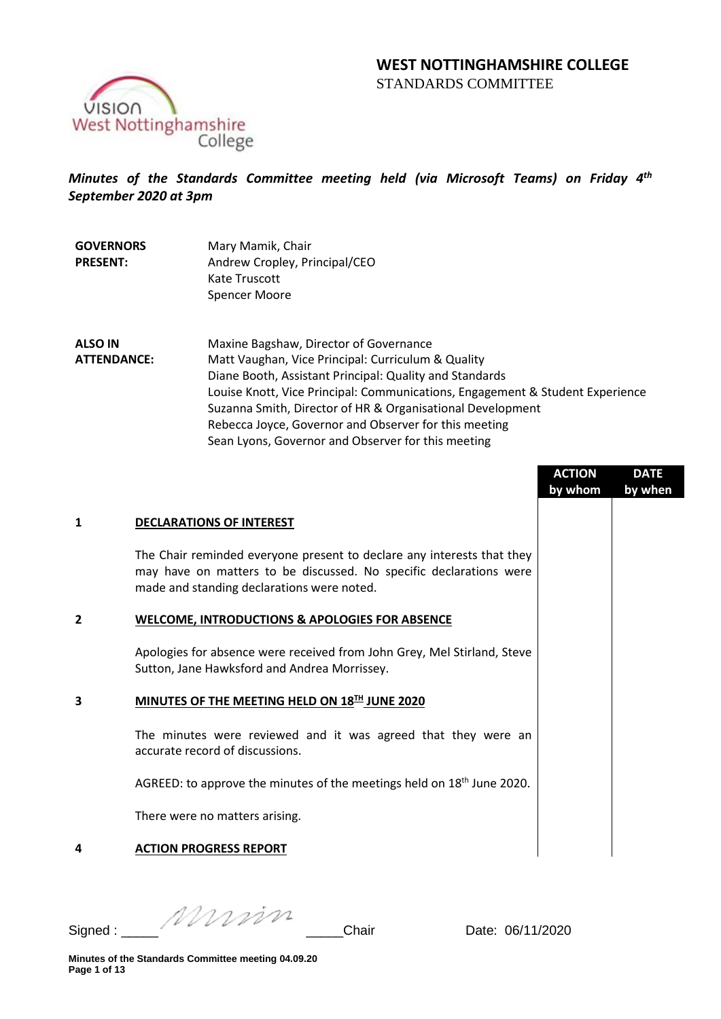



# *Minutes of the Standards Committee meeting held (via Microsoft Teams) on Friday 4th September 2020 at 3pm*

| <b>GOVERNORS</b> | Mary Mamik, Chair             |
|------------------|-------------------------------|
| <b>PRESENT:</b>  | Andrew Cropley, Principal/CEO |
|                  | Kate Truscott                 |
|                  | Spencer Moore                 |

**ALSO IN ATTENDANCE:** Maxine Bagshaw, Director of Governance Matt Vaughan, Vice Principal: Curriculum & Quality Diane Booth, Assistant Principal: Quality and Standards Louise Knott, Vice Principal: Communications, Engagement & Student Experience Suzanna Smith, Director of HR & Organisational Development Rebecca Joyce, Governor and Observer for this meeting Sean Lyons, Governor and Observer for this meeting

| <b>DECLARATIONS OF INTEREST</b><br>1<br>The Chair reminded everyone present to declare any interests that they<br>may have on matters to be discussed. No specific declarations were<br>made and standing declarations were noted.<br><b>WELCOME, INTRODUCTIONS &amp; APOLOGIES FOR ABSENCE</b><br>$\overline{2}$ | by when |
|-------------------------------------------------------------------------------------------------------------------------------------------------------------------------------------------------------------------------------------------------------------------------------------------------------------------|---------|
|                                                                                                                                                                                                                                                                                                                   |         |
|                                                                                                                                                                                                                                                                                                                   |         |
|                                                                                                                                                                                                                                                                                                                   |         |
| Apologies for absence were received from John Grey, Mel Stirland, Steve<br>Sutton, Jane Hawksford and Andrea Morrissey.                                                                                                                                                                                           |         |
| MINUTES OF THE MEETING HELD ON 18TH JUNE 2020<br>3                                                                                                                                                                                                                                                                |         |
| The minutes were reviewed and it was agreed that they were an<br>accurate record of discussions.                                                                                                                                                                                                                  |         |
| AGREED: to approve the minutes of the meetings held on 18 <sup>th</sup> June 2020.                                                                                                                                                                                                                                |         |
| There were no matters arising.                                                                                                                                                                                                                                                                                    |         |
| <b>ACTION PROGRESS REPORT</b><br>4                                                                                                                                                                                                                                                                                |         |

Signed : \_\_\_\_\_ \_\_\_\_\_Chair Date: 06/11/2020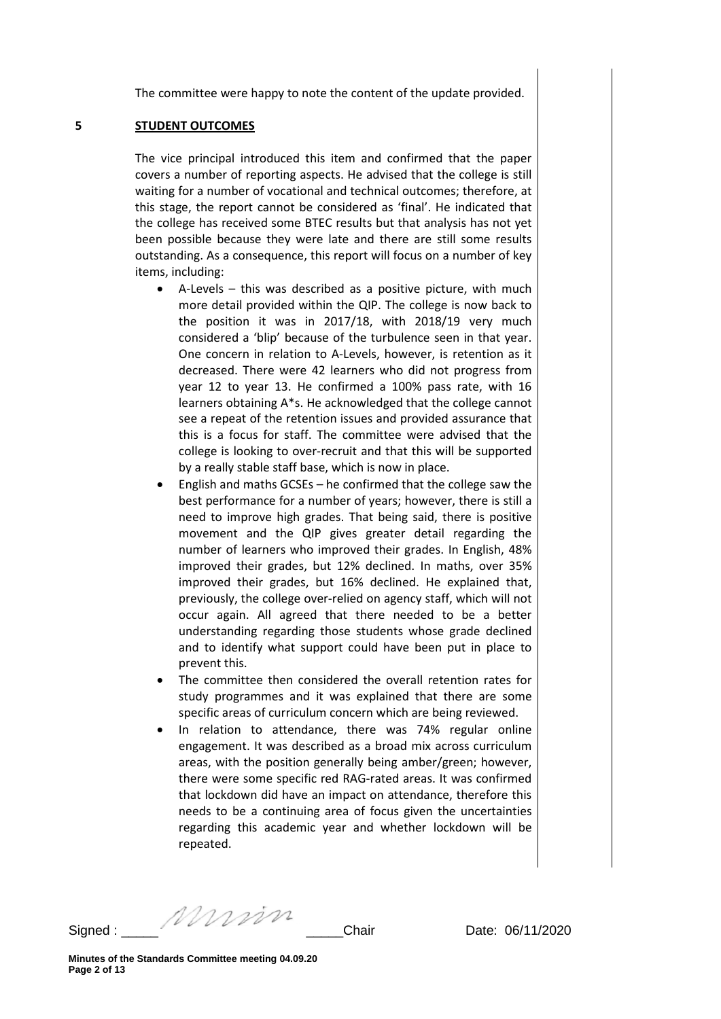The committee were happy to note the content of the update provided.

#### **5 STUDENT OUTCOMES**

The vice principal introduced this item and confirmed that the paper covers a number of reporting aspects. He advised that the college is still waiting for a number of vocational and technical outcomes; therefore, at this stage, the report cannot be considered as 'final'. He indicated that the college has received some BTEC results but that analysis has not yet been possible because they were late and there are still some results outstanding. As a consequence, this report will focus on a number of key items, including:

- A-Levels this was described as a positive picture, with much more detail provided within the QIP. The college is now back to the position it was in 2017/18, with 2018/19 very much considered a 'blip' because of the turbulence seen in that year. One concern in relation to A-Levels, however, is retention as it decreased. There were 42 learners who did not progress from year 12 to year 13. He confirmed a 100% pass rate, with 16 learners obtaining A\*s. He acknowledged that the college cannot see a repeat of the retention issues and provided assurance that this is a focus for staff. The committee were advised that the college is looking to over-recruit and that this will be supported by a really stable staff base, which is now in place.
- English and maths  $GCSEs he$  confirmed that the college saw the best performance for a number of years; however, there is still a need to improve high grades. That being said, there is positive movement and the QIP gives greater detail regarding the number of learners who improved their grades. In English, 48% improved their grades, but 12% declined. In maths, over 35% improved their grades, but 16% declined. He explained that, previously, the college over-relied on agency staff, which will not occur again. All agreed that there needed to be a better understanding regarding those students whose grade declined and to identify what support could have been put in place to prevent this.
- The committee then considered the overall retention rates for study programmes and it was explained that there are some specific areas of curriculum concern which are being reviewed.
- In relation to attendance, there was 74% regular online engagement. It was described as a broad mix across curriculum areas, with the position generally being amber/green; however, there were some specific red RAG-rated areas. It was confirmed that lockdown did have an impact on attendance, therefore this needs to be a continuing area of focus given the uncertainties regarding this academic year and whether lockdown will be repeated.

Signed : \_\_\_\_\_ \_\_\_\_\_Chair Date: 06/11/2020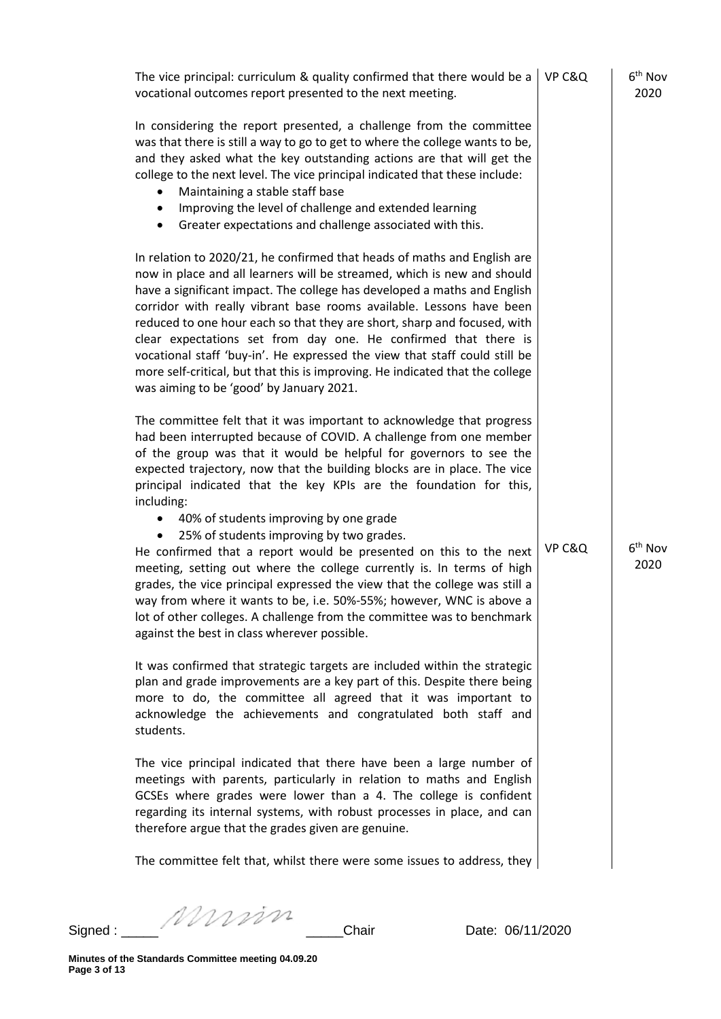| The vice principal: curriculum & quality confirmed that there would be a<br>vocational outcomes report presented to the next meeting.                                                                                                                                                                                                                                                                                                                                                                                                                                                                                                                                                                                                                                                                                                                                                                 | VP C&Q | $6th$ Nov<br>2020           |
|-------------------------------------------------------------------------------------------------------------------------------------------------------------------------------------------------------------------------------------------------------------------------------------------------------------------------------------------------------------------------------------------------------------------------------------------------------------------------------------------------------------------------------------------------------------------------------------------------------------------------------------------------------------------------------------------------------------------------------------------------------------------------------------------------------------------------------------------------------------------------------------------------------|--------|-----------------------------|
| In considering the report presented, a challenge from the committee<br>was that there is still a way to go to get to where the college wants to be,<br>and they asked what the key outstanding actions are that will get the<br>college to the next level. The vice principal indicated that these include:<br>Maintaining a stable staff base<br>Improving the level of challenge and extended learning<br>$\bullet$<br>Greater expectations and challenge associated with this.<br>٠                                                                                                                                                                                                                                                                                                                                                                                                                |        |                             |
| In relation to 2020/21, he confirmed that heads of maths and English are<br>now in place and all learners will be streamed, which is new and should<br>have a significant impact. The college has developed a maths and English<br>corridor with really vibrant base rooms available. Lessons have been<br>reduced to one hour each so that they are short, sharp and focused, with<br>clear expectations set from day one. He confirmed that there is<br>vocational staff 'buy-in'. He expressed the view that staff could still be<br>more self-critical, but that this is improving. He indicated that the college<br>was aiming to be 'good' by January 2021.                                                                                                                                                                                                                                     |        |                             |
| The committee felt that it was important to acknowledge that progress<br>had been interrupted because of COVID. A challenge from one member<br>of the group was that it would be helpful for governors to see the<br>expected trajectory, now that the building blocks are in place. The vice<br>principal indicated that the key KPIs are the foundation for this,<br>including:<br>40% of students improving by one grade<br>25% of students improving by two grades.<br>He confirmed that a report would be presented on this to the next<br>meeting, setting out where the college currently is. In terms of high<br>grades, the vice principal expressed the view that the college was still a<br>way from where it wants to be, i.e. 50%-55%; however, WNC is above a<br>lot of other colleges. A challenge from the committee was to benchmark<br>against the best in class wherever possible. | VP C&Q | 6 <sup>th</sup> Nov<br>2020 |
| It was confirmed that strategic targets are included within the strategic<br>plan and grade improvements are a key part of this. Despite there being<br>more to do, the committee all agreed that it was important to<br>acknowledge the achievements and congratulated both staff and<br>students.                                                                                                                                                                                                                                                                                                                                                                                                                                                                                                                                                                                                   |        |                             |
| The vice principal indicated that there have been a large number of<br>meetings with parents, particularly in relation to maths and English<br>GCSEs where grades were lower than a 4. The college is confident<br>regarding its internal systems, with robust processes in place, and can<br>therefore argue that the grades given are genuine.                                                                                                                                                                                                                                                                                                                                                                                                                                                                                                                                                      |        |                             |
| The committee felt that, whilst there were some issues to address, they                                                                                                                                                                                                                                                                                                                                                                                                                                                                                                                                                                                                                                                                                                                                                                                                                               |        |                             |
|                                                                                                                                                                                                                                                                                                                                                                                                                                                                                                                                                                                                                                                                                                                                                                                                                                                                                                       |        |                             |

Signed : \_\_\_\_\_ \_\_\_\_\_Chair Date: 06/11/2020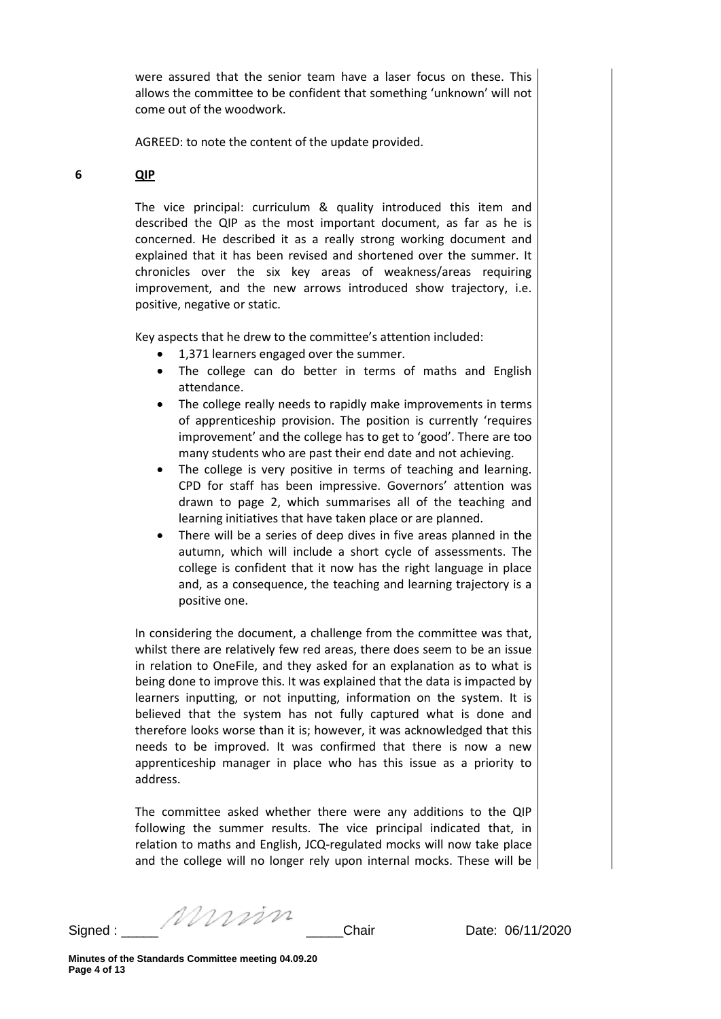were assured that the senior team have a laser focus on these. This allows the committee to be confident that something 'unknown' will not come out of the woodwork.

AGREED: to note the content of the update provided.

## **6 QIP**

The vice principal: curriculum & quality introduced this item and described the QIP as the most important document, as far as he is concerned. He described it as a really strong working document and explained that it has been revised and shortened over the summer. It chronicles over the six key areas of weakness/areas requiring improvement, and the new arrows introduced show trajectory, i.e. positive, negative or static.

Key aspects that he drew to the committee's attention included:

- 1,371 learners engaged over the summer.
- The college can do better in terms of maths and English attendance.
- The college really needs to rapidly make improvements in terms of apprenticeship provision. The position is currently 'requires improvement' and the college has to get to 'good'. There are too many students who are past their end date and not achieving.
- The college is very positive in terms of teaching and learning. CPD for staff has been impressive. Governors' attention was drawn to page 2, which summarises all of the teaching and learning initiatives that have taken place or are planned.
- There will be a series of deep dives in five areas planned in the autumn, which will include a short cycle of assessments. The college is confident that it now has the right language in place and, as a consequence, the teaching and learning trajectory is a positive one.

In considering the document, a challenge from the committee was that, whilst there are relatively few red areas, there does seem to be an issue in relation to OneFile, and they asked for an explanation as to what is being done to improve this. It was explained that the data is impacted by learners inputting, or not inputting, information on the system. It is believed that the system has not fully captured what is done and therefore looks worse than it is; however, it was acknowledged that this needs to be improved. It was confirmed that there is now a new apprenticeship manager in place who has this issue as a priority to address.

The committee asked whether there were any additions to the QIP following the summer results. The vice principal indicated that, in relation to maths and English, JCQ-regulated mocks will now take place and the college will no longer rely upon internal mocks. These will be

Signed : \_\_\_\_\_ \_\_\_\_\_Chair Date: 06/11/2020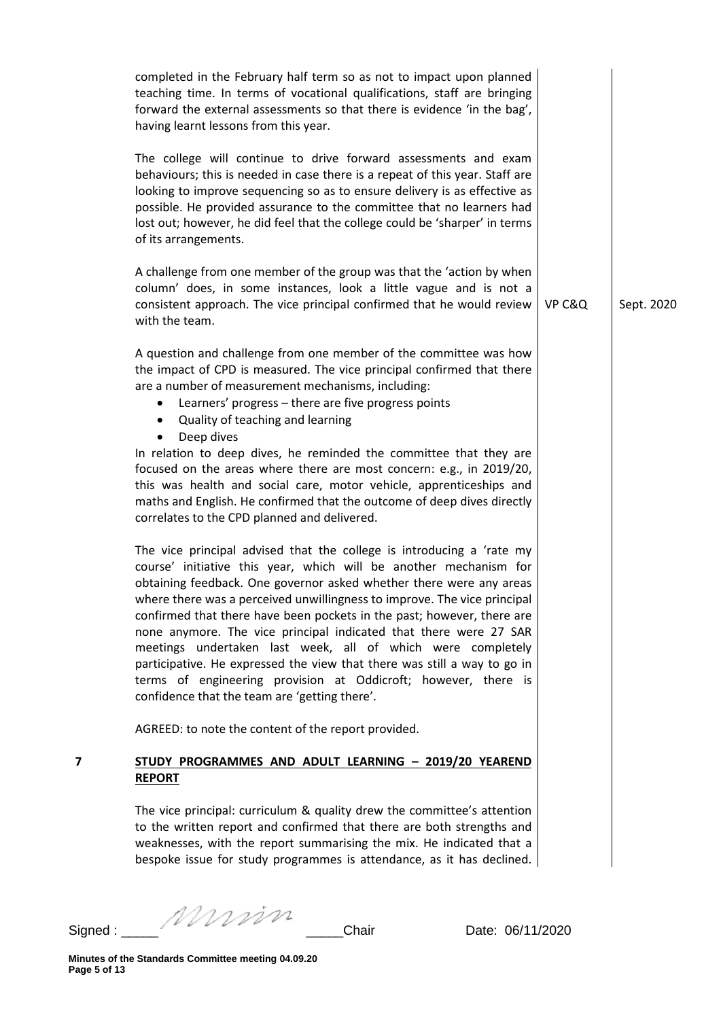|   | completed in the February half term so as not to impact upon planned<br>teaching time. In terms of vocational qualifications, staff are bringing<br>forward the external assessments so that there is evidence 'in the bag',<br>having learnt lessons from this year.                                                                                                                                                                                                                                                                                                                                                                                                                                      |        |            |
|---|------------------------------------------------------------------------------------------------------------------------------------------------------------------------------------------------------------------------------------------------------------------------------------------------------------------------------------------------------------------------------------------------------------------------------------------------------------------------------------------------------------------------------------------------------------------------------------------------------------------------------------------------------------------------------------------------------------|--------|------------|
|   | The college will continue to drive forward assessments and exam<br>behaviours; this is needed in case there is a repeat of this year. Staff are<br>looking to improve sequencing so as to ensure delivery is as effective as<br>possible. He provided assurance to the committee that no learners had<br>lost out; however, he did feel that the college could be 'sharper' in terms<br>of its arrangements.                                                                                                                                                                                                                                                                                               |        |            |
|   | A challenge from one member of the group was that the 'action by when<br>column' does, in some instances, look a little vague and is not a<br>consistent approach. The vice principal confirmed that he would review<br>with the team.                                                                                                                                                                                                                                                                                                                                                                                                                                                                     | VP C&Q | Sept. 2020 |
|   | A question and challenge from one member of the committee was how<br>the impact of CPD is measured. The vice principal confirmed that there<br>are a number of measurement mechanisms, including:<br>Learners' progress - there are five progress points<br>Quality of teaching and learning<br>$\bullet$                                                                                                                                                                                                                                                                                                                                                                                                  |        |            |
|   | Deep dives<br>$\bullet$<br>In relation to deep dives, he reminded the committee that they are<br>focused on the areas where there are most concern: e.g., in 2019/20,<br>this was health and social care, motor vehicle, apprenticeships and<br>maths and English. He confirmed that the outcome of deep dives directly<br>correlates to the CPD planned and delivered.                                                                                                                                                                                                                                                                                                                                    |        |            |
|   | The vice principal advised that the college is introducing a 'rate my<br>course' initiative this year, which will be another mechanism for<br>obtaining feedback. One governor asked whether there were any areas<br>where there was a perceived unwillingness to improve. The vice principal<br>confirmed that there have been pockets in the past; however, there are<br>none anymore. The vice principal indicated that there were 27 SAR<br>meetings undertaken last week, all of which were completely<br>participative. He expressed the view that there was still a way to go in<br>terms of engineering provision at Oddicroft; however, there is<br>confidence that the team are 'getting there'. |        |            |
|   | AGREED: to note the content of the report provided.                                                                                                                                                                                                                                                                                                                                                                                                                                                                                                                                                                                                                                                        |        |            |
| 7 | STUDY PROGRAMMES AND ADULT LEARNING - 2019/20 YEAREND<br><b>REPORT</b>                                                                                                                                                                                                                                                                                                                                                                                                                                                                                                                                                                                                                                     |        |            |
|   | The vice principal: curriculum & quality drew the committee's attention<br>to the written report and confirmed that there are both strengths and<br>weaknesses, with the report summarising the mix. He indicated that a<br>bespoke issue for study programmes is attendance, as it has declined.                                                                                                                                                                                                                                                                                                                                                                                                          |        |            |

Signed : \_\_\_\_\_ \_\_\_\_\_Chair Date: 06/11/2020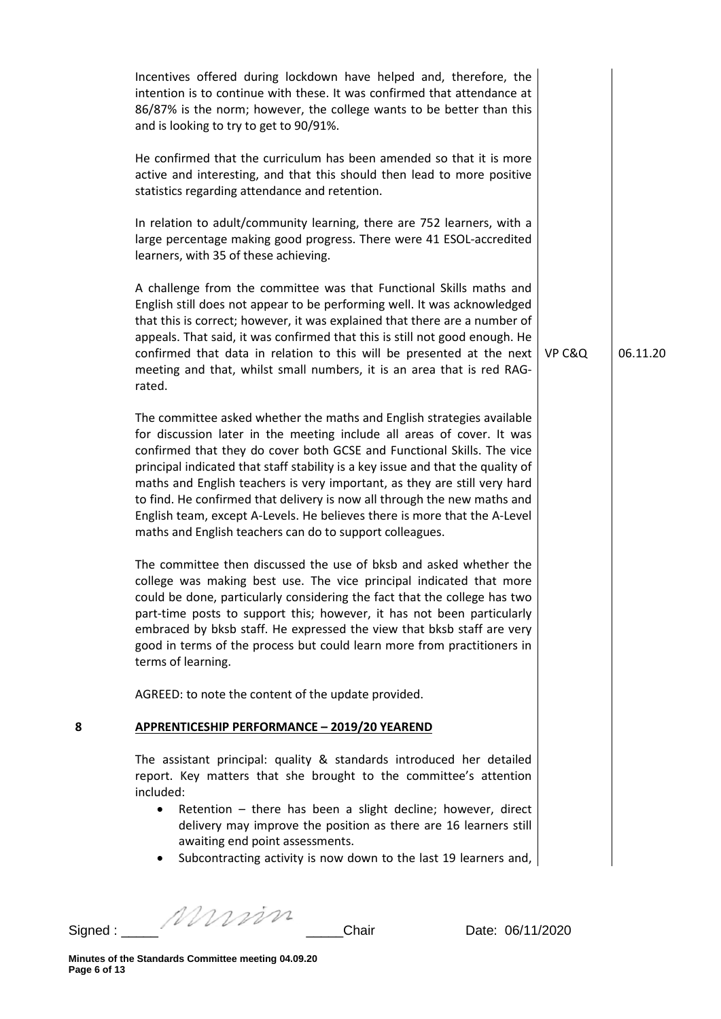| Incentives offered during lockdown have helped and, therefore, the<br>intention is to continue with these. It was confirmed that attendance at<br>86/87% is the norm; however, the college wants to be better than this<br>and is looking to try to get to 90/91%.<br>He confirmed that the curriculum has been amended so that it is more<br>active and interesting, and that this should then lead to more positive<br>statistics regarding attendance and retention.<br>In relation to adult/community learning, there are 752 learners, with a<br>large percentage making good progress. There were 41 ESOL-accredited<br>learners, with 35 of these achieving.<br>A challenge from the committee was that Functional Skills maths and<br>English still does not appear to be performing well. It was acknowledged<br>that this is correct; however, it was explained that there are a number of<br>appeals. That said, it was confirmed that this is still not good enough. He<br>confirmed that data in relation to this will be presented at the next<br>meeting and that, whilst small numbers, it is an area that is red RAG-<br>rated.<br>The committee asked whether the maths and English strategies available<br>for discussion later in the meeting include all areas of cover. It was<br>confirmed that they do cover both GCSE and Functional Skills. The vice<br>principal indicated that staff stability is a key issue and that the quality of<br>maths and English teachers is very important, as they are still very hard | VP C&Q | 06.11.20 |
|------------------------------------------------------------------------------------------------------------------------------------------------------------------------------------------------------------------------------------------------------------------------------------------------------------------------------------------------------------------------------------------------------------------------------------------------------------------------------------------------------------------------------------------------------------------------------------------------------------------------------------------------------------------------------------------------------------------------------------------------------------------------------------------------------------------------------------------------------------------------------------------------------------------------------------------------------------------------------------------------------------------------------------------------------------------------------------------------------------------------------------------------------------------------------------------------------------------------------------------------------------------------------------------------------------------------------------------------------------------------------------------------------------------------------------------------------------------------------------------------------------------------------------------------|--------|----------|
| to find. He confirmed that delivery is now all through the new maths and<br>English team, except A-Levels. He believes there is more that the A-Level<br>maths and English teachers can do to support colleagues.<br>The committee then discussed the use of bksb and asked whether the<br>college was making best use. The vice principal indicated that more<br>could be done, particularly considering the fact that the college has two<br>part-time posts to support this; however, it has not been particularly<br>embraced by bksb staff. He expressed the view that bksb staff are very<br>good in terms of the process but could learn more from practitioners in<br>terms of learning.                                                                                                                                                                                                                                                                                                                                                                                                                                                                                                                                                                                                                                                                                                                                                                                                                                               |        |          |
| AGREED: to note the content of the update provided.                                                                                                                                                                                                                                                                                                                                                                                                                                                                                                                                                                                                                                                                                                                                                                                                                                                                                                                                                                                                                                                                                                                                                                                                                                                                                                                                                                                                                                                                                            |        |          |
| 8<br>APPRENTICESHIP PERFORMANCE - 2019/20 YEAREND                                                                                                                                                                                                                                                                                                                                                                                                                                                                                                                                                                                                                                                                                                                                                                                                                                                                                                                                                                                                                                                                                                                                                                                                                                                                                                                                                                                                                                                                                              |        |          |
| The assistant principal: quality & standards introduced her detailed<br>report. Key matters that she brought to the committee's attention<br>included:<br>Retention - there has been a slight decline; however, direct<br>٠<br>delivery may improve the position as there are 16 learners still<br>awaiting end point assessments.<br>Subcontracting activity is now down to the last 19 learners and,                                                                                                                                                                                                                                                                                                                                                                                                                                                                                                                                                                                                                                                                                                                                                                                                                                                                                                                                                                                                                                                                                                                                         |        |          |

Signed : \_\_\_\_\_ \_\_\_\_\_Chair Date: 06/11/2020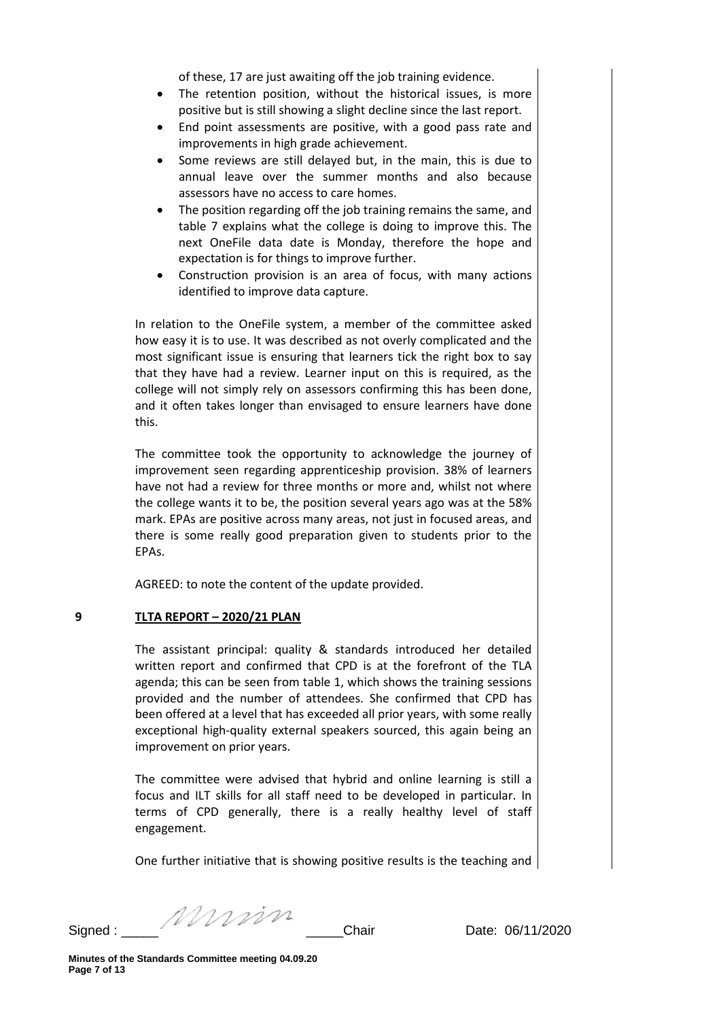of these, 17 are just awaiting off the job training evidence.

- The retention position, without the historical issues, is more positive but is still showing a slight decline since the last report.
- End point assessments are positive, with a good pass rate and improvements in high grade achievement.
- Some reviews are still delayed but, in the main, this is due to annual leave over the summer months and also because assessors have no access to care homes.
- The position regarding off the job training remains the same, and table 7 explains what the college is doing to improve this. The next OneFile data date is Monday, therefore the hope and expectation is for things to improve further.
- Construction provision is an area of focus, with many actions identified to improve data capture.

In relation to the OneFile system, a member of the committee asked how easy it is to use. It was described as not overly complicated and the most significant issue is ensuring that learners tick the right box to say that they have had a review. Learner input on this is required, as the college will not simply rely on assessors confirming this has been done, and it often takes longer than envisaged to ensure learners have done this.

The committee took the opportunity to acknowledge the journey of improvement seen regarding apprenticeship provision. 38% of learners have not had a review for three months or more and, whilst not where the college wants it to be, the position several years ago was at the 58% mark. EPAs are positive across many areas, not just in focused areas, and there is some really good preparation given to students prior to the EPAs.

AGREED: to note the content of the update provided.

## **9 TLTA REPORT – 2020/21 PLAN**

The assistant principal: quality & standards introduced her detailed written report and confirmed that CPD is at the forefront of the TLA agenda; this can be seen from table 1, which shows the training sessions provided and the number of attendees. She confirmed that CPD has been offered at a level that has exceeded all prior years, with some really exceptional high-quality external speakers sourced, this again being an improvement on prior years.

The committee were advised that hybrid and online learning is still a focus and ILT skills for all staff need to be developed in particular. In terms of CPD generally, there is a really healthy level of staff engagement.

One further initiative that is showing positive results is the teaching and

Signed : \_\_\_\_\_ \_\_\_\_\_Chair Date: 06/11/2020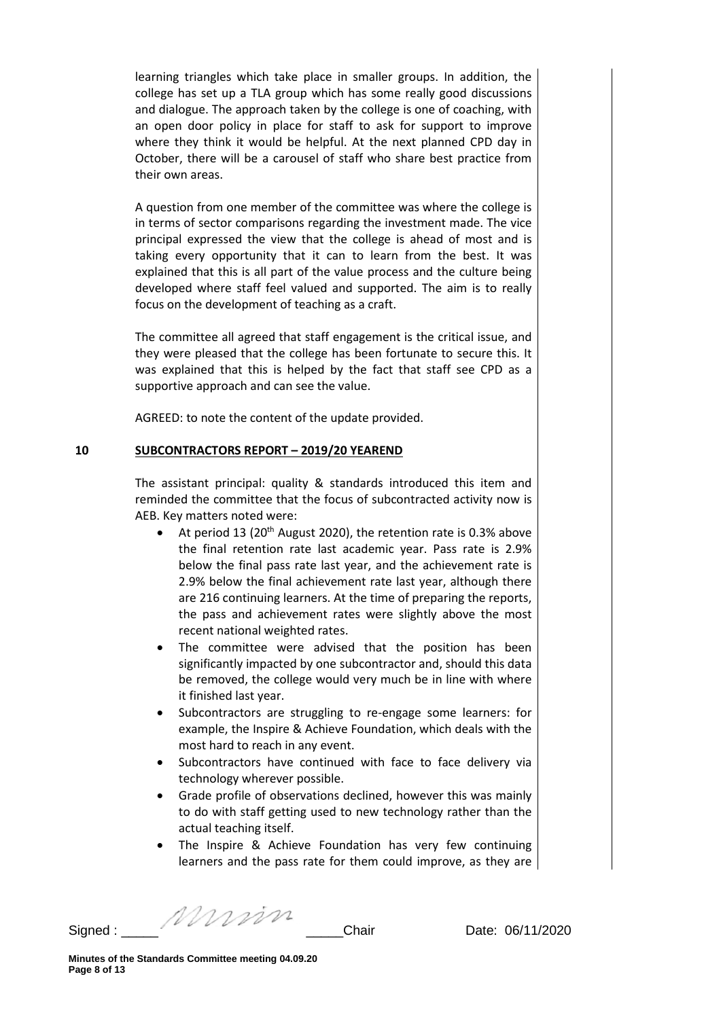learning triangles which take place in smaller groups. In addition, the college has set up a TLA group which has some really good discussions and dialogue. The approach taken by the college is one of coaching, with an open door policy in place for staff to ask for support to improve where they think it would be helpful. At the next planned CPD day in October, there will be a carousel of staff who share best practice from their own areas.

A question from one member of the committee was where the college is in terms of sector comparisons regarding the investment made. The vice principal expressed the view that the college is ahead of most and is taking every opportunity that it can to learn from the best. It was explained that this is all part of the value process and the culture being developed where staff feel valued and supported. The aim is to really focus on the development of teaching as a craft.

The committee all agreed that staff engagement is the critical issue, and they were pleased that the college has been fortunate to secure this. It was explained that this is helped by the fact that staff see CPD as a supportive approach and can see the value.

AGREED: to note the content of the update provided.

## **10 SUBCONTRACTORS REPORT – 2019/20 YEAREND**

The assistant principal: quality & standards introduced this item and reminded the committee that the focus of subcontracted activity now is AEB. Key matters noted were:

- At period 13 (20<sup>th</sup> August 2020), the retention rate is 0.3% above the final retention rate last academic year. Pass rate is 2.9% below the final pass rate last year, and the achievement rate is 2.9% below the final achievement rate last year, although there are 216 continuing learners. At the time of preparing the reports, the pass and achievement rates were slightly above the most recent national weighted rates.
- The committee were advised that the position has been significantly impacted by one subcontractor and, should this data be removed, the college would very much be in line with where it finished last year.
- Subcontractors are struggling to re-engage some learners: for example, the Inspire & Achieve Foundation, which deals with the most hard to reach in any event.
- Subcontractors have continued with face to face delivery via technology wherever possible.
- Grade profile of observations declined, however this was mainly to do with staff getting used to new technology rather than the actual teaching itself.
- The Inspire & Achieve Foundation has very few continuing learners and the pass rate for them could improve, as they are

Signed :  $\frac{1}{2}$  Chair Date: 06/11/2020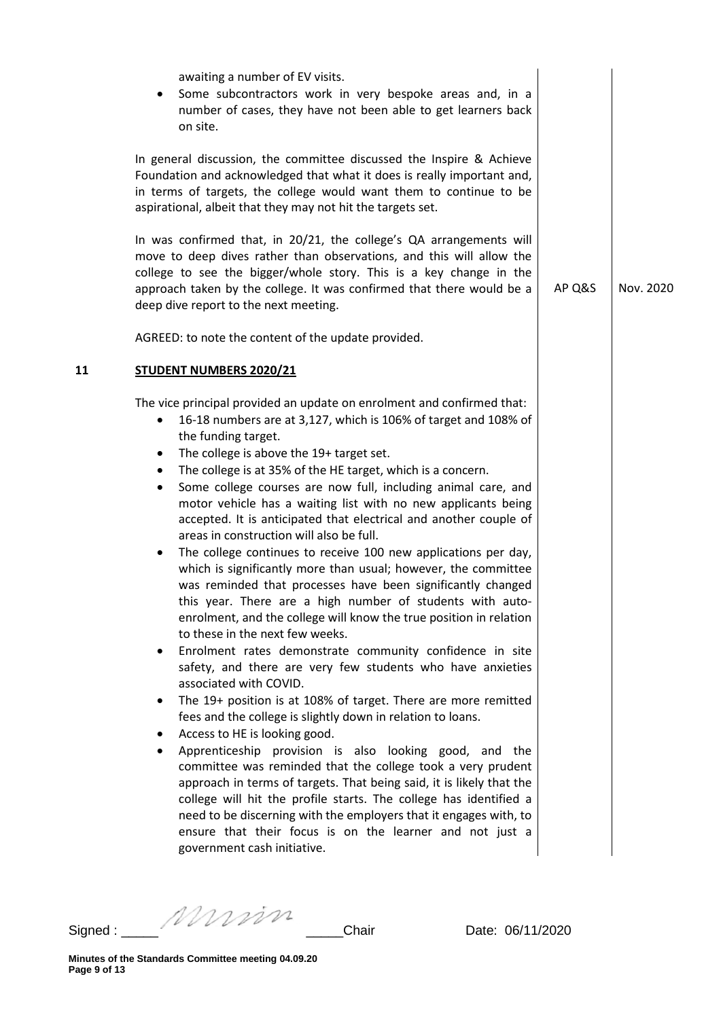|    | awaiting a number of EV visits.<br>Some subcontractors work in very bespoke areas and, in a<br>٠<br>number of cases, they have not been able to get learners back<br>on site.                                                                                                                                                                                                                                                                                                                                                                                                                                                                                                                                                                                                                                                                                                                                                                                                                                                                                                                                                                                                                                                                                                                                                                                                                                                                                                                                                                                                                                                                                                                                    |        |           |
|----|------------------------------------------------------------------------------------------------------------------------------------------------------------------------------------------------------------------------------------------------------------------------------------------------------------------------------------------------------------------------------------------------------------------------------------------------------------------------------------------------------------------------------------------------------------------------------------------------------------------------------------------------------------------------------------------------------------------------------------------------------------------------------------------------------------------------------------------------------------------------------------------------------------------------------------------------------------------------------------------------------------------------------------------------------------------------------------------------------------------------------------------------------------------------------------------------------------------------------------------------------------------------------------------------------------------------------------------------------------------------------------------------------------------------------------------------------------------------------------------------------------------------------------------------------------------------------------------------------------------------------------------------------------------------------------------------------------------|--------|-----------|
|    | In general discussion, the committee discussed the Inspire & Achieve<br>Foundation and acknowledged that what it does is really important and,<br>in terms of targets, the college would want them to continue to be<br>aspirational, albeit that they may not hit the targets set.                                                                                                                                                                                                                                                                                                                                                                                                                                                                                                                                                                                                                                                                                                                                                                                                                                                                                                                                                                                                                                                                                                                                                                                                                                                                                                                                                                                                                              |        |           |
|    | In was confirmed that, in 20/21, the college's QA arrangements will<br>move to deep dives rather than observations, and this will allow the<br>college to see the bigger/whole story. This is a key change in the<br>approach taken by the college. It was confirmed that there would be a<br>deep dive report to the next meeting.                                                                                                                                                                                                                                                                                                                                                                                                                                                                                                                                                                                                                                                                                                                                                                                                                                                                                                                                                                                                                                                                                                                                                                                                                                                                                                                                                                              | AP Q&S | Nov. 2020 |
|    | AGREED: to note the content of the update provided.                                                                                                                                                                                                                                                                                                                                                                                                                                                                                                                                                                                                                                                                                                                                                                                                                                                                                                                                                                                                                                                                                                                                                                                                                                                                                                                                                                                                                                                                                                                                                                                                                                                              |        |           |
| 11 | <b>STUDENT NUMBERS 2020/21</b>                                                                                                                                                                                                                                                                                                                                                                                                                                                                                                                                                                                                                                                                                                                                                                                                                                                                                                                                                                                                                                                                                                                                                                                                                                                                                                                                                                                                                                                                                                                                                                                                                                                                                   |        |           |
|    | The vice principal provided an update on enrolment and confirmed that:<br>16-18 numbers are at 3,127, which is 106% of target and 108% of<br>٠<br>the funding target.<br>The college is above the 19+ target set.<br>٠<br>The college is at 35% of the HE target, which is a concern.<br>٠<br>Some college courses are now full, including animal care, and<br>٠<br>motor vehicle has a waiting list with no new applicants being<br>accepted. It is anticipated that electrical and another couple of<br>areas in construction will also be full.<br>The college continues to receive 100 new applications per day,<br>٠<br>which is significantly more than usual; however, the committee<br>was reminded that processes have been significantly changed<br>this year. There are a high number of students with auto-<br>enrolment, and the college will know the true position in relation<br>to these in the next few weeks.<br>Enrolment rates demonstrate community confidence in site<br>٠<br>safety, and there are very few students who have anxieties<br>associated with COVID.<br>The 19+ position is at 108% of target. There are more remitted<br>٠<br>fees and the college is slightly down in relation to loans.<br>Access to HE is looking good.<br>٠<br>Apprenticeship provision is also looking good, and the<br>٠<br>committee was reminded that the college took a very prudent<br>approach in terms of targets. That being said, it is likely that the<br>college will hit the profile starts. The college has identified a<br>need to be discerning with the employers that it engages with, to<br>ensure that their focus is on the learner and not just a<br>government cash initiative. |        |           |

Signed : \_\_\_\_\_ \_\_\_\_\_Chair Date: 06/11/2020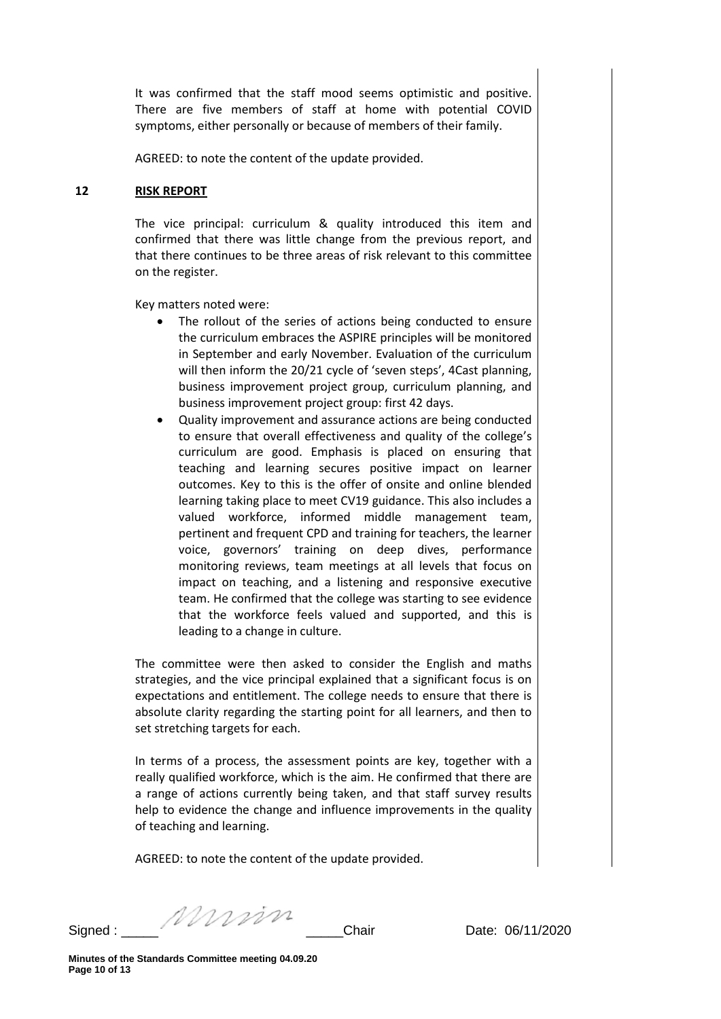It was confirmed that the staff mood seems optimistic and positive. There are five members of staff at home with potential COVID symptoms, either personally or because of members of their family.

AGREED: to note the content of the update provided.

#### **12 RISK REPORT**

The vice principal: curriculum & quality introduced this item and confirmed that there was little change from the previous report, and that there continues to be three areas of risk relevant to this committee on the register.

Key matters noted were:

- The rollout of the series of actions being conducted to ensure the curriculum embraces the ASPIRE principles will be monitored in September and early November. Evaluation of the curriculum will then inform the 20/21 cycle of 'seven steps', 4Cast planning, business improvement project group, curriculum planning, and business improvement project group: first 42 days.
- Quality improvement and assurance actions are being conducted to ensure that overall effectiveness and quality of the college's curriculum are good. Emphasis is placed on ensuring that teaching and learning secures positive impact on learner outcomes. Key to this is the offer of onsite and online blended learning taking place to meet CV19 guidance. This also includes a valued workforce, informed middle management team, pertinent and frequent CPD and training for teachers, the learner voice, governors' training on deep dives, performance monitoring reviews, team meetings at all levels that focus on impact on teaching, and a listening and responsive executive team. He confirmed that the college was starting to see evidence that the workforce feels valued and supported, and this is leading to a change in culture.

The committee were then asked to consider the English and maths strategies, and the vice principal explained that a significant focus is on expectations and entitlement. The college needs to ensure that there is absolute clarity regarding the starting point for all learners, and then to set stretching targets for each.

In terms of a process, the assessment points are key, together with a really qualified workforce, which is the aim. He confirmed that there are a range of actions currently being taken, and that staff survey results help to evidence the change and influence improvements in the quality of teaching and learning.

AGREED: to note the content of the update provided.

Signed : \_\_\_\_\_ \_\_\_\_\_Chair Date: 06/11/2020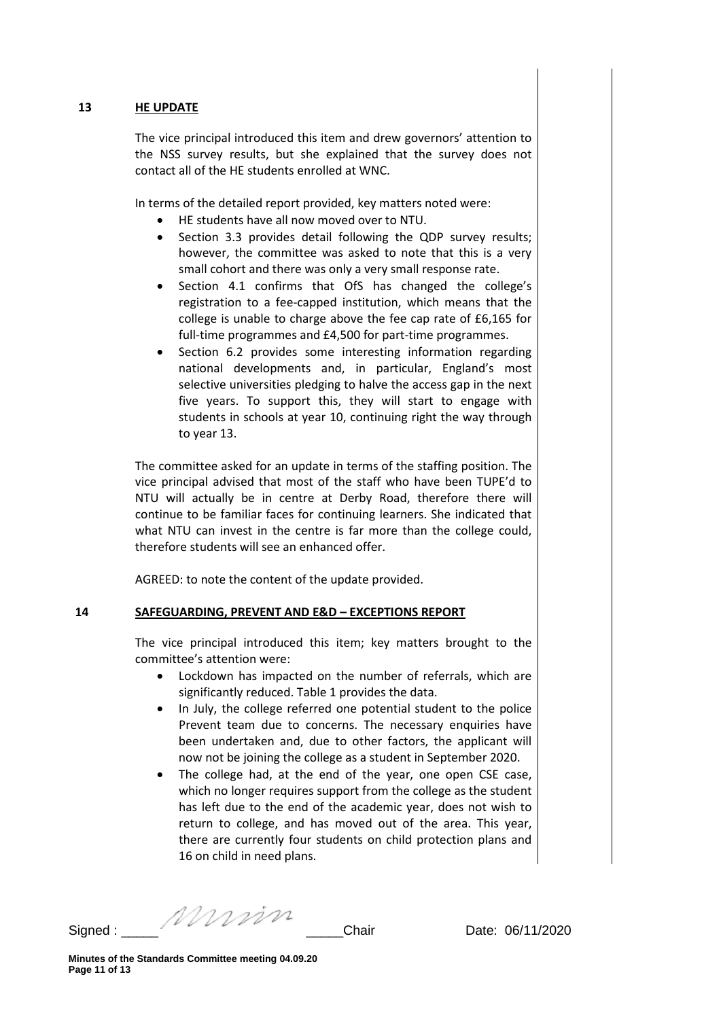## **13 HE UPDATE**

The vice principal introduced this item and drew governors' attention to the NSS survey results, but she explained that the survey does not contact all of the HE students enrolled at WNC.

In terms of the detailed report provided, key matters noted were:

- HE students have all now moved over to NTU.
- Section 3.3 provides detail following the QDP survey results; however, the committee was asked to note that this is a very small cohort and there was only a very small response rate.
- Section 4.1 confirms that OfS has changed the college's registration to a fee-capped institution, which means that the college is unable to charge above the fee cap rate of £6,165 for full-time programmes and £4,500 for part-time programmes.
- Section 6.2 provides some interesting information regarding national developments and, in particular, England's most selective universities pledging to halve the access gap in the next five years. To support this, they will start to engage with students in schools at year 10, continuing right the way through to year 13.

The committee asked for an update in terms of the staffing position. The vice principal advised that most of the staff who have been TUPE'd to NTU will actually be in centre at Derby Road, therefore there will continue to be familiar faces for continuing learners. She indicated that what NTU can invest in the centre is far more than the college could, therefore students will see an enhanced offer.

AGREED: to note the content of the update provided.

## **14 SAFEGUARDING, PREVENT AND E&D – EXCEPTIONS REPORT**

The vice principal introduced this item; key matters brought to the committee's attention were:

- Lockdown has impacted on the number of referrals, which are significantly reduced. Table 1 provides the data.
- In July, the college referred one potential student to the police Prevent team due to concerns. The necessary enquiries have been undertaken and, due to other factors, the applicant will now not be joining the college as a student in September 2020.
- The college had, at the end of the year, one open CSE case, which no longer requires support from the college as the student has left due to the end of the academic year, does not wish to return to college, and has moved out of the area. This year, there are currently four students on child protection plans and 16 on child in need plans.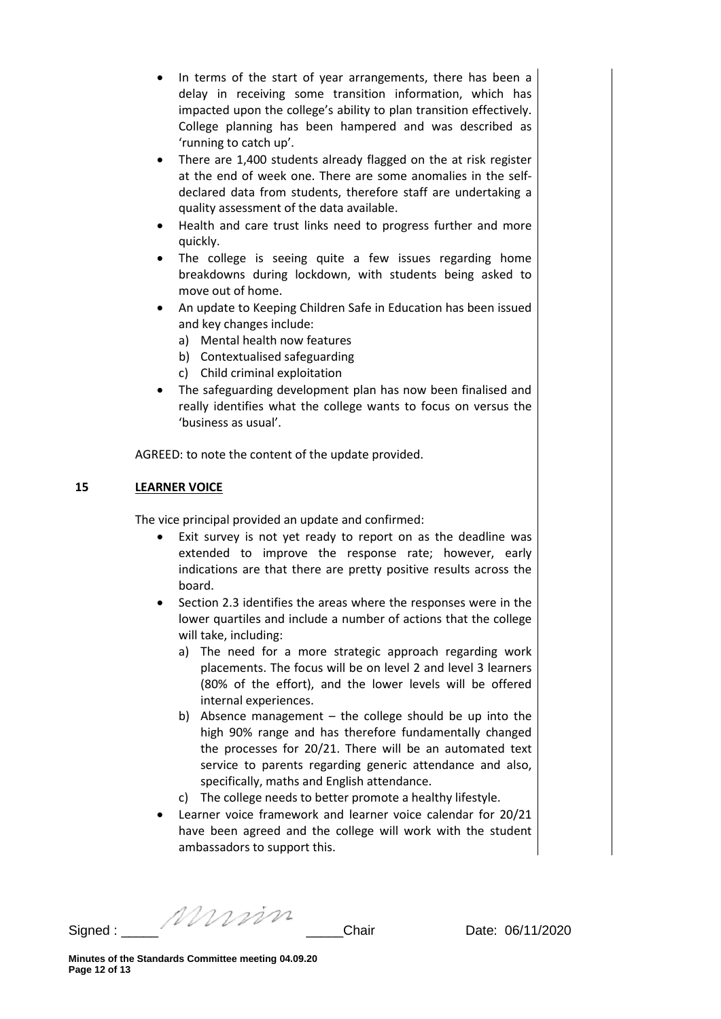- In terms of the start of year arrangements, there has been a delay in receiving some transition information, which has impacted upon the college's ability to plan transition effectively. College planning has been hampered and was described as 'running to catch up'.
- There are 1,400 students already flagged on the at risk register at the end of week one. There are some anomalies in the selfdeclared data from students, therefore staff are undertaking a quality assessment of the data available.
- Health and care trust links need to progress further and more quickly.
- The college is seeing quite a few issues regarding home breakdowns during lockdown, with students being asked to move out of home.
- An update to Keeping Children Safe in Education has been issued and key changes include:
	- a) Mental health now features
	- b) Contextualised safeguarding
	- c) Child criminal exploitation
- The safeguarding development plan has now been finalised and really identifies what the college wants to focus on versus the 'business as usual'.

AGREED: to note the content of the update provided.

# **15 LEARNER VOICE**

The vice principal provided an update and confirmed:

- Exit survey is not yet ready to report on as the deadline was extended to improve the response rate; however, early indications are that there are pretty positive results across the board.
- Section 2.3 identifies the areas where the responses were in the lower quartiles and include a number of actions that the college will take, including:
	- a) The need for a more strategic approach regarding work placements. The focus will be on level 2 and level 3 learners (80% of the effort), and the lower levels will be offered internal experiences.
	- b) Absence management the college should be up into the high 90% range and has therefore fundamentally changed the processes for 20/21. There will be an automated text service to parents regarding generic attendance and also, specifically, maths and English attendance.
	- c) The college needs to better promote a healthy lifestyle.
- Learner voice framework and learner voice calendar for 20/21 have been agreed and the college will work with the student ambassadors to support this.